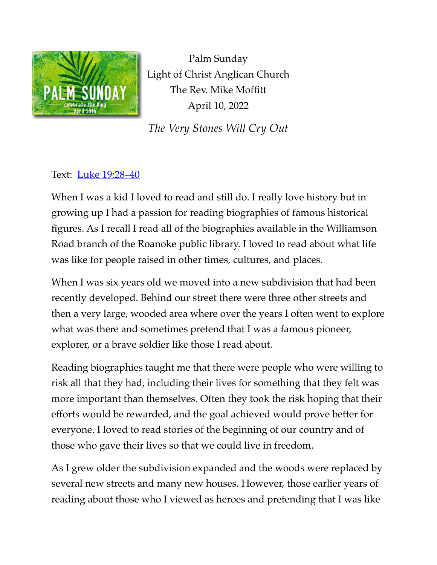

Palm Sunday Light of Christ Anglican Church The Rev. Mike Moffitt April 10, 2022

*The Very Stones Will Cry Out*

## Text: [Luke 19:28–40](https://www.biblegateway.com/passage/?search=Luke%2019:28-40&version=ESV)

When I was a kid I loved to read and still do. I really love history but in growing up I had a passion for reading biographies of famous historical figures. As I recall I read all of the biographies available in the Williamson Road branch of the Roanoke public library. I loved to read about what life was like for people raised in other times, cultures, and places.

When I was six years old we moved into a new subdivision that had been recently developed. Behind our street there were three other streets and then a very large, wooded area where over the years I often went to explore what was there and sometimes pretend that I was a famous pioneer, explorer, or a brave soldier like those I read about.

Reading biographies taught me that there were people who were willing to risk all that they had, including their lives for something that they felt was more important than themselves. Often they took the risk hoping that their efforts would be rewarded, and the goal achieved would prove better for everyone. I loved to read stories of the beginning of our country and of those who gave their lives so that we could live in freedom.

As I grew older the subdivision expanded and the woods were replaced by several new streets and many new houses. However, those earlier years of reading about those who I viewed as heroes and pretending that I was like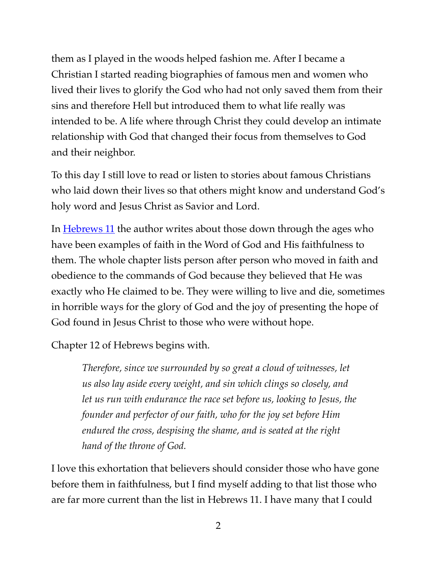them as I played in the woods helped fashion me. After I became a Christian I started reading biographies of famous men and women who lived their lives to glorify the God who had not only saved them from their sins and therefore Hell but introduced them to what life really was intended to be. A life where through Christ they could develop an intimate relationship with God that changed their focus from themselves to God and their neighbor.

To this day I still love to read or listen to stories about famous Christians who laid down their lives so that others might know and understand God's holy word and Jesus Christ as Savior and Lord.

In **Hebrews 11** the author writes about those down through the ages who have been examples of faith in the Word of God and His faithfulness to them. The whole chapter lists person after person who moved in faith and obedience to the commands of God because they believed that He was exactly who He claimed to be. They were willing to live and die, sometimes in horrible ways for the glory of God and the joy of presenting the hope of God found in Jesus Christ to those who were without hope.

Chapter 12 of Hebrews begins with.

*Therefore, since we surrounded by so great a cloud of witnesses, let us also lay aside every weight, and sin which clings so closely, and let us run with endurance the race set before us, looking to Jesus, the founder and perfector of our faith, who for the joy set before Him endured the cross, despising the shame, and is seated at the right hand of the throne of God.*

I love this exhortation that believers should consider those who have gone before them in faithfulness, but I find myself adding to that list those who are far more current than the list in Hebrews 11. I have many that I could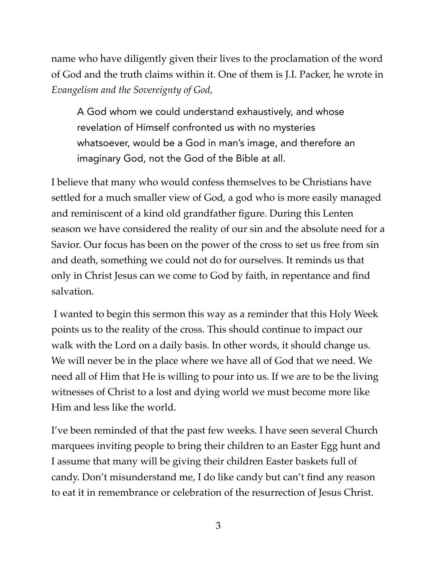name who have diligently given their lives to the proclamation of the word of God and the truth claims within it. One of them is J.I. Packer, he wrote in *Evangelism and the Sovereignty of God,*

A God whom we could understand exhaustively, and whose revelation of Himself confronted us with no mysteries whatsoever, would be a God in man's image, and therefore an imaginary God, not the God of the Bible at all.

I believe that many who would confess themselves to be Christians have settled for a much smaller view of God, a god who is more easily managed and reminiscent of a kind old grandfather figure. During this Lenten season we have considered the reality of our sin and the absolute need for a Savior. Our focus has been on the power of the cross to set us free from sin and death, something we could not do for ourselves. It reminds us that only in Christ Jesus can we come to God by faith, in repentance and find salvation.

 I wanted to begin this sermon this way as a reminder that this Holy Week points us to the reality of the cross. This should continue to impact our walk with the Lord on a daily basis. In other words, it should change us. We will never be in the place where we have all of God that we need. We need all of Him that He is willing to pour into us. If we are to be the living witnesses of Christ to a lost and dying world we must become more like Him and less like the world.

I've been reminded of that the past few weeks. I have seen several Church marquees inviting people to bring their children to an Easter Egg hunt and I assume that many will be giving their children Easter baskets full of candy. Don't misunderstand me, I do like candy but can't find any reason to eat it in remembrance or celebration of the resurrection of Jesus Christ.

3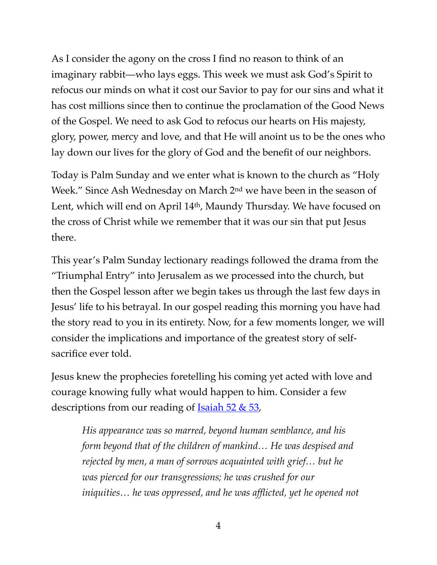As I consider the agony on the cross I find no reason to think of an imaginary rabbit—who lays eggs. This week we must ask God's Spirit to refocus our minds on what it cost our Savior to pay for our sins and what it has cost millions since then to continue the proclamation of the Good News of the Gospel. We need to ask God to refocus our hearts on His majesty, glory, power, mercy and love, and that He will anoint us to be the ones who lay down our lives for the glory of God and the benefit of our neighbors.

Today is Palm Sunday and we enter what is known to the church as "Holy Week." Since Ash Wednesday on March 2nd we have been in the season of Lent, which will end on April 14th, Maundy Thursday. We have focused on the cross of Christ while we remember that it was our sin that put Jesus there.

This year's Palm Sunday lectionary readings followed the drama from the "Triumphal Entry" into Jerusalem as we processed into the church, but then the Gospel lesson after we begin takes us through the last few days in Jesus' life to his betrayal. In our gospel reading this morning you have had the story read to you in its entirety. Now, for a few moments longer, we will consider the implications and importance of the greatest story of selfsacrifice ever told.

Jesus knew the prophecies foretelling his coming yet acted with love and courage knowing fully what would happen to him. Consider a few descriptions from our reading of  $\frac{Isaiah}{52 \& 53}$ ,

*His appearance was so marred, beyond human semblance, and his form beyond that of the children of mankind… He was despised and rejected by men, a man of sorrows acquainted with grief… but he was pierced for our transgressions; he was crushed for our iniquities… he was oppressed, and he was afflicted, yet he opened not*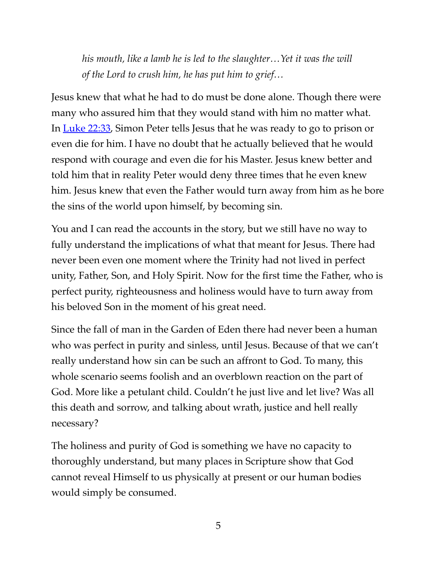*his mouth, like a lamb he is led to the slaughter…Yet it was the will of the Lord to crush him, he has put him to grief…*

Jesus knew that what he had to do must be done alone. Though there were many who assured him that they would stand with him no matter what. In [Luke 22:33,](https://www.biblegateway.com/passage/?search=Luke+22:31-34&version=ESV) Simon Peter tells Jesus that he was ready to go to prison or even die for him. I have no doubt that he actually believed that he would respond with courage and even die for his Master. Jesus knew better and told him that in reality Peter would deny three times that he even knew him. Jesus knew that even the Father would turn away from him as he bore the sins of the world upon himself, by becoming sin.

You and I can read the accounts in the story, but we still have no way to fully understand the implications of what that meant for Jesus. There had never been even one moment where the Trinity had not lived in perfect unity, Father, Son, and Holy Spirit. Now for the first time the Father, who is perfect purity, righteousness and holiness would have to turn away from his beloved Son in the moment of his great need.

Since the fall of man in the Garden of Eden there had never been a human who was perfect in purity and sinless, until Jesus. Because of that we can't really understand how sin can be such an affront to God. To many, this whole scenario seems foolish and an overblown reaction on the part of God. More like a petulant child. Couldn't he just live and let live? Was all this death and sorrow, and talking about wrath, justice and hell really necessary?

The holiness and purity of God is something we have no capacity to thoroughly understand, but many places in Scripture show that God cannot reveal Himself to us physically at present or our human bodies would simply be consumed.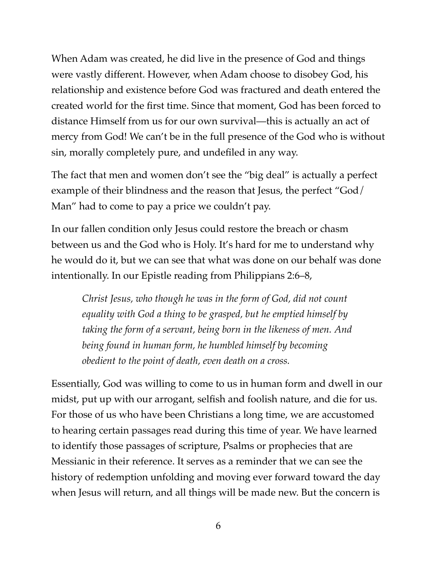When Adam was created, he did live in the presence of God and things were vastly different. However, when Adam choose to disobey God, his relationship and existence before God was fractured and death entered the created world for the first time. Since that moment, God has been forced to distance Himself from us for our own survival—this is actually an act of mercy from God! We can't be in the full presence of the God who is without sin, morally completely pure, and undefiled in any way.

The fact that men and women don't see the "big deal" is actually a perfect example of their blindness and the reason that Jesus, the perfect "God/ Man" had to come to pay a price we couldn't pay.

In our fallen condition only Jesus could restore the breach or chasm between us and the God who is Holy. It's hard for me to understand why he would do it, but we can see that what was done on our behalf was done intentionally. In our Epistle reading from Philippians 2:6–8,

*Christ Jesus, who though he was in the form of God, did not count equality with God a thing to be grasped, but he emptied himself by taking the form of a servant, being born in the likeness of men. And being found in human form, he humbled himself by becoming obedient to the point of death, even death on a cross.*

Essentially, God was willing to come to us in human form and dwell in our midst, put up with our arrogant, selfish and foolish nature, and die for us. For those of us who have been Christians a long time, we are accustomed to hearing certain passages read during this time of year. We have learned to identify those passages of scripture, Psalms or prophecies that are Messianic in their reference. It serves as a reminder that we can see the history of redemption unfolding and moving ever forward toward the day when Jesus will return, and all things will be made new. But the concern is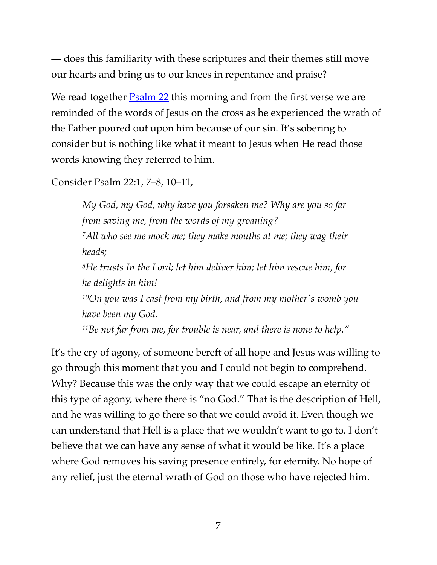— does this familiarity with these scriptures and their themes still move our hearts and bring us to our knees in repentance and praise?

We read together **[Psalm 22](https://www.biblegateway.com/passage/?search=Psalm+22:1%E2%80%9311&version=ESV)** this morning and from the first verse we are reminded of the words of Jesus on the cross as he experienced the wrath of the Father poured out upon him because of our sin. It's sobering to consider but is nothing like what it meant to Jesus when He read those words knowing they referred to him.

Consider Psalm 22:1, 7–8, 10–11,

*My God, my God, why have you forsaken me? Why are you so far from saving me, from the words of my groaning? 7All who see me mock me; they make mouths at me; they wag their heads; 8He trusts In the Lord; let him deliver him; let him rescue him, for he delights in him! 10On you was I cast from my birth, and from my mother's womb you have been my God. 11Be not far from me, for trouble is near, and there is none to help."*

It's the cry of agony, of someone bereft of all hope and Jesus was willing to go through this moment that you and I could not begin to comprehend. Why? Because this was the only way that we could escape an eternity of this type of agony, where there is "no God." That is the description of Hell, and he was willing to go there so that we could avoid it. Even though we can understand that Hell is a place that we wouldn't want to go to, I don't believe that we can have any sense of what it would be like. It's a place where God removes his saving presence entirely, for eternity. No hope of any relief, just the eternal wrath of God on those who have rejected him.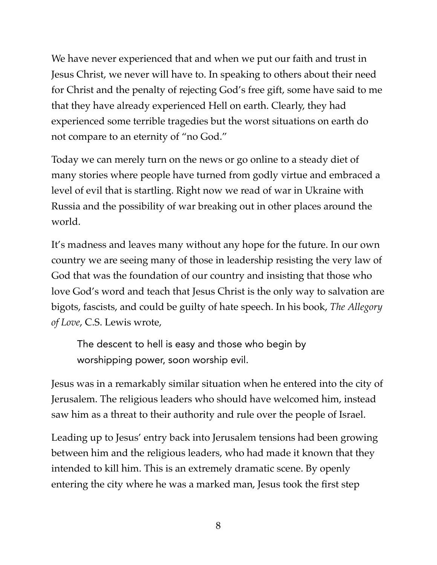We have never experienced that and when we put our faith and trust in Jesus Christ, we never will have to. In speaking to others about their need for Christ and the penalty of rejecting God's free gift, some have said to me that they have already experienced Hell on earth. Clearly, they had experienced some terrible tragedies but the worst situations on earth do not compare to an eternity of "no God."

Today we can merely turn on the news or go online to a steady diet of many stories where people have turned from godly virtue and embraced a level of evil that is startling. Right now we read of war in Ukraine with Russia and the possibility of war breaking out in other places around the world.

It's madness and leaves many without any hope for the future. In our own country we are seeing many of those in leadership resisting the very law of God that was the foundation of our country and insisting that those who love God's word and teach that Jesus Christ is the only way to salvation are bigots, fascists, and could be guilty of hate speech. In his book, *The Allegory of Love*, C.S. Lewis wrote,

The descent to hell is easy and those who begin by worshipping power, soon worship evil.

Jesus was in a remarkably similar situation when he entered into the city of Jerusalem. The religious leaders who should have welcomed him, instead saw him as a threat to their authority and rule over the people of Israel.

Leading up to Jesus' entry back into Jerusalem tensions had been growing between him and the religious leaders, who had made it known that they intended to kill him. This is an extremely dramatic scene. By openly entering the city where he was a marked man, Jesus took the first step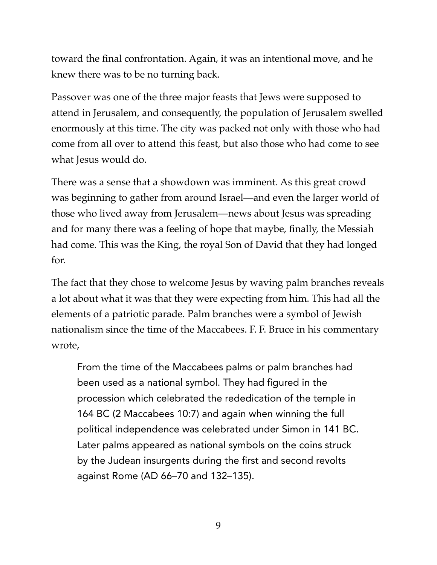toward the final confrontation. Again, it was an intentional move, and he knew there was to be no turning back.

Passover was one of the three major feasts that Jews were supposed to attend in Jerusalem, and consequently, the population of Jerusalem swelled enormously at this time. The city was packed not only with those who had come from all over to attend this feast, but also those who had come to see what Jesus would do.

There was a sense that a showdown was imminent. As this great crowd was beginning to gather from around Israel—and even the larger world of those who lived away from Jerusalem—news about Jesus was spreading and for many there was a feeling of hope that maybe, finally, the Messiah had come. This was the King, the royal Son of David that they had longed for.

The fact that they chose to welcome Jesus by waving palm branches reveals a lot about what it was that they were expecting from him. This had all the elements of a patriotic parade. Palm branches were a symbol of Jewish nationalism since the time of the Maccabees. F. F. Bruce in his commentary wrote,

From the time of the Maccabees palms or palm branches had been used as a national symbol. They had figured in the procession which celebrated the rededication of the temple in 164 BC (2 Maccabees 10:7) and again when winning the full political independence was celebrated under Simon in 141 BC. Later palms appeared as national symbols on the coins struck by the Judean insurgents during the first and second revolts against Rome (AD 66–70 and 132–135).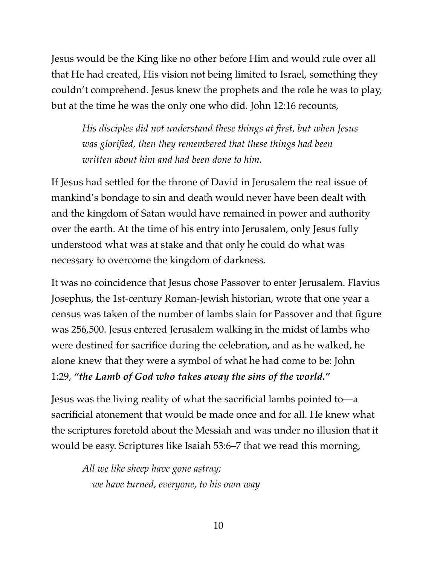Jesus would be the King like no other before Him and would rule over all that He had created, His vision not being limited to Israel, something they couldn't comprehend. Jesus knew the prophets and the role he was to play, but at the time he was the only one who did. John 12:16 recounts,

*His disciples did not understand these things at first, but when Jesus was glorified, then they remembered that these things had been written about him and had been done to him.*

If Jesus had settled for the throne of David in Jerusalem the real issue of mankind's bondage to sin and death would never have been dealt with and the kingdom of Satan would have remained in power and authority over the earth. At the time of his entry into Jerusalem, only Jesus fully understood what was at stake and that only he could do what was necessary to overcome the kingdom of darkness.

It was no coincidence that Jesus chose Passover to enter Jerusalem. Flavius Josephus, the 1st-century Roman-Jewish historian, wrote that one year a census was taken of the number of lambs slain for Passover and that figure was 256,500. Jesus entered Jerusalem walking in the midst of lambs who were destined for sacrifice during the celebration, and as he walked, he alone knew that they were a symbol of what he had come to be: John 1:29, *"the Lamb of God who takes away the sins of the world."*

Jesus was the living reality of what the sacrificial lambs pointed to—a sacrificial atonement that would be made once and for all. He knew what the scriptures foretold about the Messiah and was under no illusion that it would be easy. Scriptures like Isaiah 53:6–7 that we read this morning,

*All we like sheep have gone astray; we have turned, everyone, to his own way*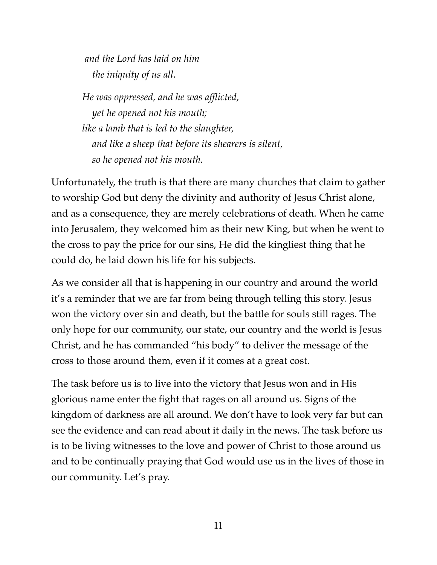*and the Lord has laid on him the iniquity of us all.* 

*He was oppressed, and he was afflicted, yet he opened not his mouth; like a lamb that is led to the slaughter, and like a sheep that before its shearers is silent, so he opened not his mouth.*

Unfortunately, the truth is that there are many churches that claim to gather to worship God but deny the divinity and authority of Jesus Christ alone, and as a consequence, they are merely celebrations of death. When he came into Jerusalem, they welcomed him as their new King, but when he went to the cross to pay the price for our sins, He did the kingliest thing that he could do, he laid down his life for his subjects.

As we consider all that is happening in our country and around the world it's a reminder that we are far from being through telling this story. Jesus won the victory over sin and death, but the battle for souls still rages. The only hope for our community, our state, our country and the world is Jesus Christ, and he has commanded "his body" to deliver the message of the cross to those around them, even if it comes at a great cost.

The task before us is to live into the victory that Jesus won and in His glorious name enter the fight that rages on all around us. Signs of the kingdom of darkness are all around. We don't have to look very far but can see the evidence and can read about it daily in the news. The task before us is to be living witnesses to the love and power of Christ to those around us and to be continually praying that God would use us in the lives of those in our community. Let's pray.

11